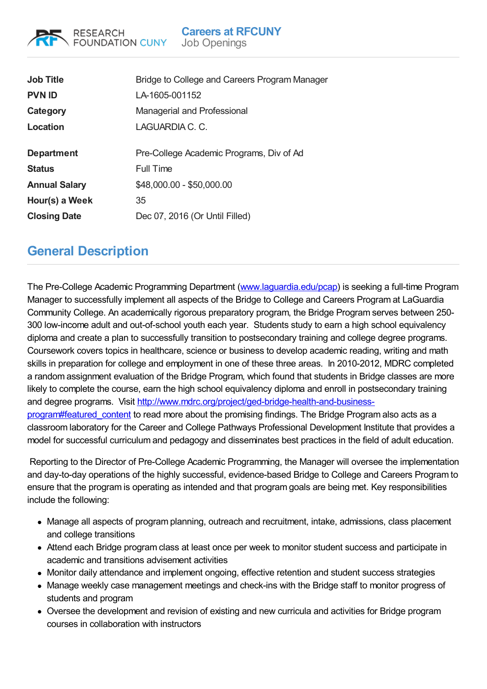## **Careers at RFCUNY**

Job Openings

| <b>Job Title</b>     | Bridge to College and Careers Program Manager |
|----------------------|-----------------------------------------------|
| <b>PVN ID</b>        | LA-1605-001152                                |
| Category             | Managerial and Professional                   |
| Location             | LAGUARDIA C. C.                               |
|                      |                                               |
| <b>Department</b>    | Pre-College Academic Programs, Div of Ad      |
| <b>Status</b>        | Full Time                                     |
| <b>Annual Salary</b> | \$48,000.00 - \$50,000.00                     |
| Hour(s) a Week       | 35                                            |
| <b>Closing Date</b>  | Dec 07, 2016 (Or Until Filled)                |
|                      |                                               |

## **General Description**

**RESEARCH** 

**FOUNDATION CUNY** 

The Pre-College Academic Programming Department [\(www.laguardia.edu/pcap](http://www.laguardia.edu/pcap)) is seeking a full-time Program Manager to successfully implement all aspects of the Bridge to College and Careers Program at LaGuardia Community College. An academically rigorous preparatory program, the Bridge Program serves between 250- 300 low-income adult and out-of-school youth each year. Students study to earn a high school equivalency diploma and create a plan to successfully transition to postsecondary training and college degree programs. Coursework covers topics in healthcare, science or business to develop academic reading, writing and math skills in preparation for college and employment in one of these three areas. In 2010-2012, MDRC completed a random assignment evaluation of the Bridge Program, which found that students in Bridge classes are more likely to complete the course, earn the high school equivalency diploma and enroll in postsecondary training and degree programs. Visit [http://www.mdrc.org/project/ged-bridge-health-and-business](http://www.mdrc.org/project/ged-bridge-health-and-business-program#featured_content)program#featured\_content to read more about the promising findings. The Bridge Program also acts as a classroom laboratory for the Career and College Pathways Professional Development Institute that provides a model for successful curriculum and pedagogy and disseminates best practices in the field of adult education.

Reporting to the Director of Pre-College Academic Programming, the Manager will oversee the implementation and day-to-day operations of the highly successful, evidence-based Bridge to College and Careers Program to ensure that the program is operating as intended and that program goals are being met. Key responsibilities include the following:

- Manage all aspects of program planning, outreach and recruitment, intake, admissions, class placement and college transitions
- Attend each Bridge program class at least once per week to monitor student success and participate in academic and transitions advisement activities
- Monitor daily attendance and implement ongoing, effective retention and student success strategies
- Manage weekly case management meetings and check-ins with the Bridge staff to monitor progress of students and program
- Oversee the development and revision of existing and new curricula and activities for Bridge program courses in collaboration with instructors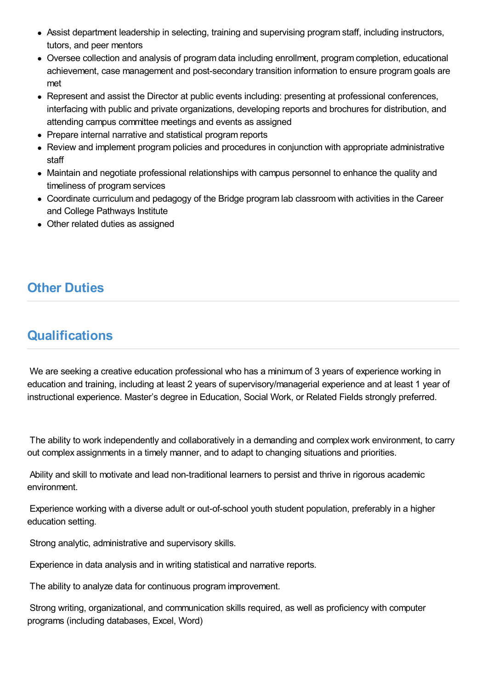- Assist department leadership in selecting, training and supervising program staff, including instructors, tutors, and peer mentors
- Oversee collection and analysis of program data including enrollment, program completion, educational achievement, case management and post-secondary transition information to ensure program goals are met
- Represent and assist the Director at public events including: presenting at professional conferences, interfacing with public and private organizations, developing reports and brochures for distribution, and attending campus committee meetings and events as assigned
- Prepare internal narrative and statistical program reports
- Review and implement program policies and procedures in conjunction with appropriate administrative staff
- Maintain and negotiate professional relationships with campus personnel to enhance the quality and timeliness of program services
- Coordinate curriculum and pedagogy of the Bridge program lab classroom with activities in the Career and College Pathways Institute
- Other related duties as assigned

## **Other Duties**

## **Qualifications**

We are seeking a creative education professional who has a minimum of 3 years of experience working in education and training, including at least 2 years of supervisory/managerial experience and at least 1 year of instructional experience. Master's degree in Education, Social Work, or Related Fields strongly preferred.

The ability to work independently and collaboratively in a demanding and complex work environment, to carry out complex assignments in a timely manner, and to adapt to changing situations and priorities.

Ability and skill to motivate and lead non-traditional learners to persist and thrive in rigorous academic environment.

Experience working with a diverse adult or out-of-school youth student population, preferably in a higher education setting.

Strong analytic, administrative and supervisory skills.

Experience in data analysis and in writing statistical and narrative reports.

The ability to analyze data for continuous program improvement.

Strong writing, organizational, and communication skills required, as well as proficiency with computer programs (including databases, Excel, Word)